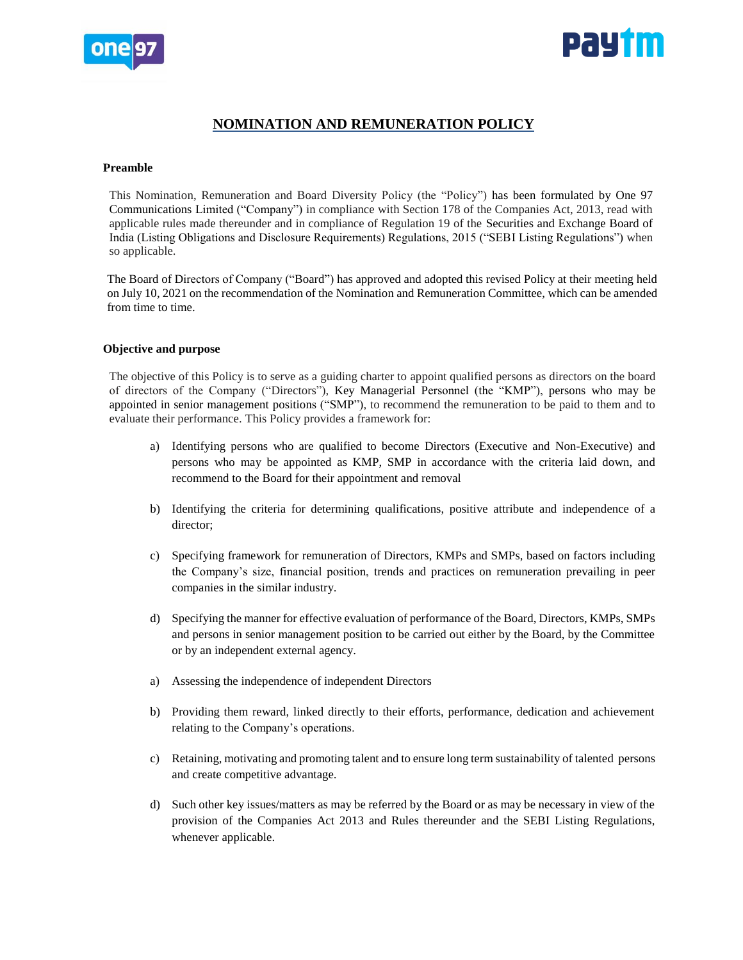



# **NOMINATION AND REMUNERATION POLICY**

#### **Preamble**

This Nomination, Remuneration and Board Diversity Policy (the "Policy") has been formulated by One 97 Communications Limited ("Company") in compliance with Section 178 of the Companies Act, 2013, read with applicable rules made thereunder and in compliance of Regulation 19 of the Securities and Exchange Board of India (Listing Obligations and Disclosure Requirements) Regulations, 2015 ("SEBI Listing Regulations") when so applicable.

The Board of Directors of Company ("Board") has approved and adopted this revised Policy at their meeting held on July 10, 2021 on the recommendation of the Nomination and Remuneration Committee, which can be amended from time to time.

#### **Objective and purpose**

The objective of this Policy is to serve as a guiding charter to appoint qualified persons as directors on the board of directors of the Company ("Directors"), Key Managerial Personnel (the "KMP"), persons who may be appointed in senior management positions ("SMP"), to recommend the remuneration to be paid to them and to evaluate their performance. This Policy provides a framework for:

- a) Identifying persons who are qualified to become Directors (Executive and Non-Executive) and persons who may be appointed as KMP, SMP in accordance with the criteria laid down, and recommend to the Board for their appointment and removal
- b) Identifying the criteria for determining qualifications, positive attribute and independence of a director;
- c) Specifying framework for remuneration of Directors, KMPs and SMPs, based on factors including the Company's size, financial position, trends and practices on remuneration prevailing in peer companies in the similar industry.
- d) Specifying the manner for effective evaluation of performance of the Board, Directors, KMPs, SMPs and persons in senior management position to be carried out either by the Board, by the Committee or by an independent external agency.
- a) Assessing the independence of independent Directors
- b) Providing them reward, linked directly to their efforts, performance, dedication and achievement relating to the Company's operations.
- c) Retaining, motivating and promoting talent and to ensure long term sustainability of talented persons and create competitive advantage.
- d) Such other key issues/matters as may be referred by the Board or as may be necessary in view of the provision of the Companies Act 2013 and Rules thereunder and the SEBI Listing Regulations, whenever applicable.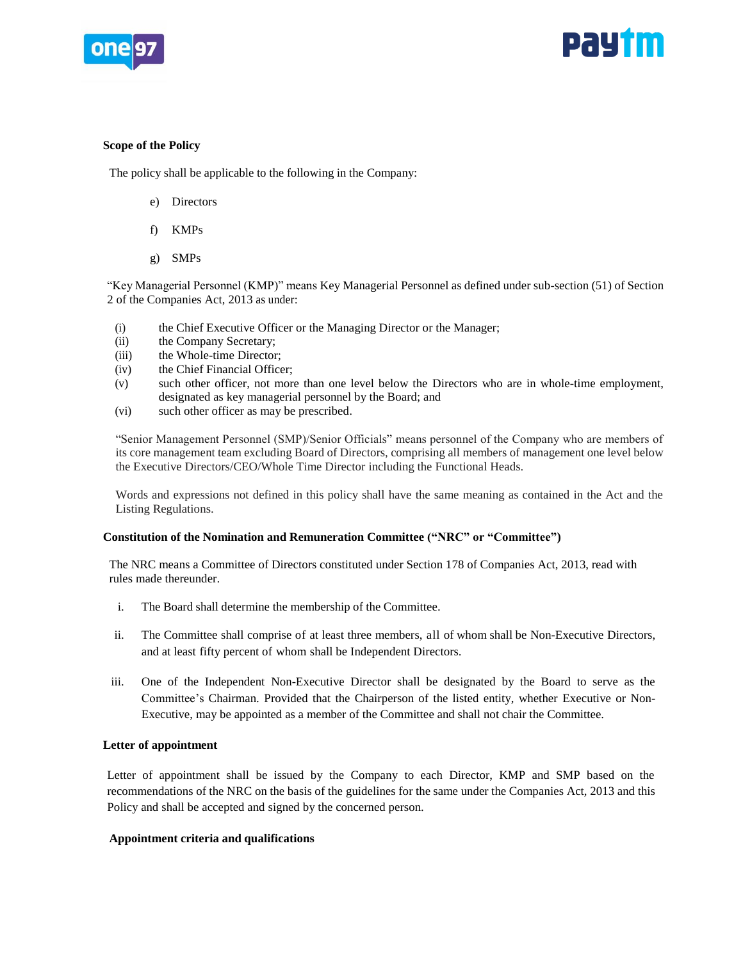



## **Scope of the Policy**

The policy shall be applicable to the following in the Company:

- e) Directors
- f) KMPs
- g) SMPs

"Key Managerial Personnel (KMP)" means Key Managerial Personnel as defined under sub-section (51) of Section 2 of the Companies Act, 2013 as under:

- (i) the Chief Executive Officer or the Managing Director or the Manager;
- (ii) the Company Secretary;
- (iii) the Whole-time Director;
- (iv) the Chief Financial Officer;
- (v) such other officer, not more than one level below the Directors who are in whole-time employment, designated as key managerial personnel by the Board; and
- (vi) such other officer as may be prescribed.

"Senior Management Personnel (SMP)/Senior Officials" means personnel of the Company who are members of its core management team excluding Board of Directors, comprising all members of management one level below the Executive Directors/CEO/Whole Time Director including the Functional Heads.

Words and expressions not defined in this policy shall have the same meaning as contained in the Act and the Listing Regulations.

# **Constitution of the Nomination and Remuneration Committee ("NRC" or "Committee")**

The NRC means a Committee of Directors constituted under Section 178 of Companies Act, 2013, read with rules made thereunder.

- i. The Board shall determine the membership of the Committee.
- ii. The Committee shall comprise of at least three members, all of whom shall be Non-Executive Directors, and at least fifty percent of whom shall be Independent Directors.
- iii. One of the Independent Non-Executive Director shall be designated by the Board to serve as the Committee's Chairman. Provided that the Chairperson of the listed entity, whether Executive or Non-Executive, may be appointed as a member of the Committee and shall not chair the Committee.

# **Letter of appointment**

Letter of appointment shall be issued by the Company to each Director, KMP and SMP based on the recommendations of the NRC on the basis of the guidelines for the same under the Companies Act, 2013 and this Policy and shall be accepted and signed by the concerned person.

# **Appointment criteria and qualifications**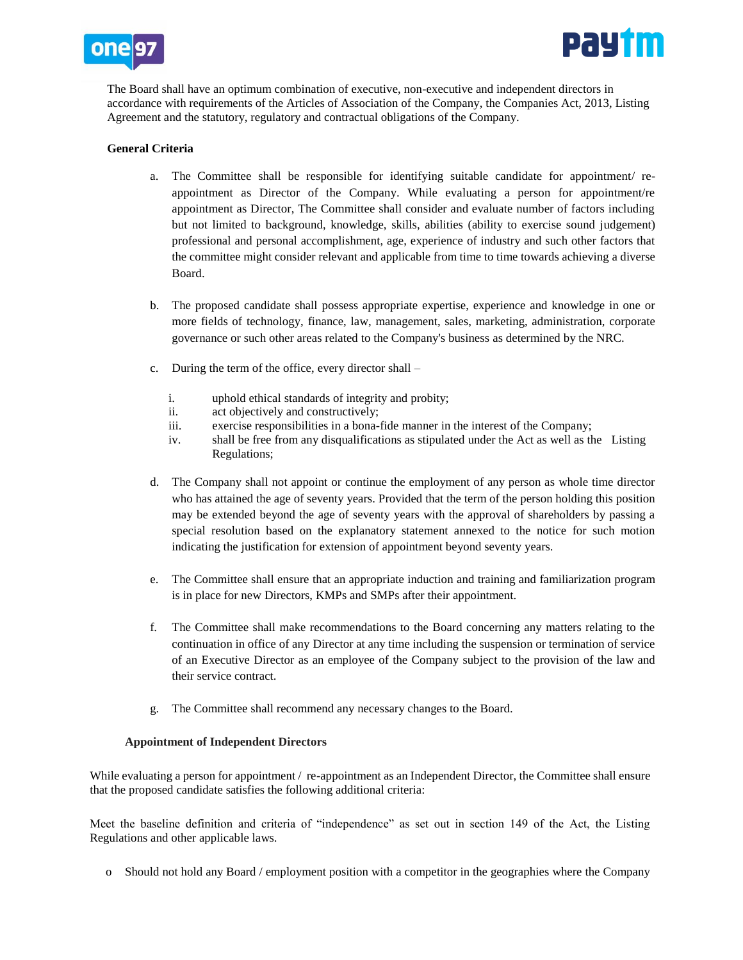



The Board shall have an optimum combination of executive, non-executive and independent directors in accordance with requirements of the Articles of Association of the Company, the Companies Act, 2013, Listing Agreement and the statutory, regulatory and contractual obligations of the Company.

## **General Criteria**

- a. The Committee shall be responsible for identifying suitable candidate for appointment/ reappointment as Director of the Company. While evaluating a person for appointment/re appointment as Director, The Committee shall consider and evaluate number of factors including but not limited to background, knowledge, skills, abilities (ability to exercise sound judgement) professional and personal accomplishment, age, experience of industry and such other factors that the committee might consider relevant and applicable from time to time towards achieving a diverse Board.
- b. The proposed candidate shall possess appropriate expertise, experience and knowledge in one or more fields of technology, finance, law, management, sales, marketing, administration, corporate governance or such other areas related to the Company's business as determined by the NRC.
- c. During the term of the office, every director shall
	- i. uphold ethical standards of integrity and probity;
	- ii. act objectively and constructively;
	- iii. exercise responsibilities in a bona-fide manner in the interest of the Company;
	- iv. shall be free from any disqualifications as stipulated under the Act as well as the Listing Regulations;
- d. The Company shall not appoint or continue the employment of any person as whole time director who has attained the age of seventy years. Provided that the term of the person holding this position may be extended beyond the age of seventy years with the approval of shareholders by passing a special resolution based on the explanatory statement annexed to the notice for such motion indicating the justification for extension of appointment beyond seventy years.
- e. The Committee shall ensure that an appropriate induction and training and familiarization program is in place for new Directors, KMPs and SMPs after their appointment.
- f. The Committee shall make recommendations to the Board concerning any matters relating to the continuation in office of any Director at any time including the suspension or termination of service of an Executive Director as an employee of the Company subject to the provision of the law and their service contract.
- g. The Committee shall recommend any necessary changes to the Board.

#### **Appointment of Independent Directors**

While evaluating a person for appointment / re-appointment as an Independent Director, the Committee shall ensure that the proposed candidate satisfies the following additional criteria:

Meet the baseline definition and criteria of "independence" as set out in section 149 of the Act, the Listing Regulations and other applicable laws.

o Should not hold any Board / employment position with a competitor in the geographies where the Company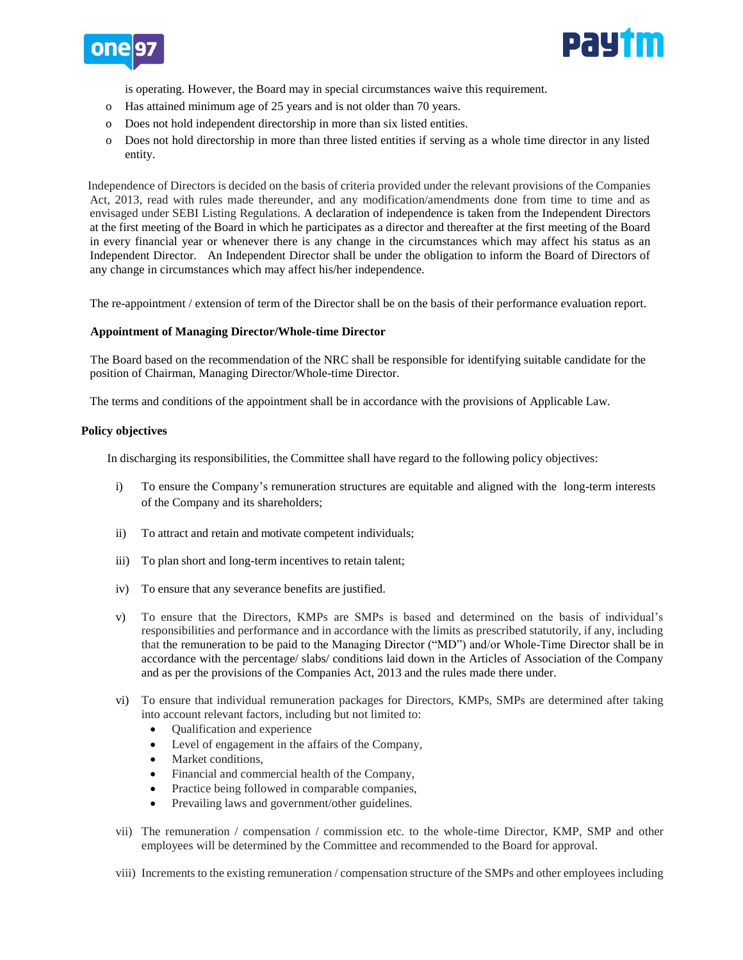



is operating. However, the Board may in special circumstances waive this requirement.

- o Has attained minimum age of 25 years and is not older than 70 years.
- o Does not hold independent directorship in more than six listed entities.
- o Does not hold directorship in more than three listed entities if serving as a whole time director in any listed entity.

Independence of Directors is decided on the basis of criteria provided under the relevant provisions of the Companies Act, 2013, read with rules made thereunder, and any modification/amendments done from time to time and as envisaged under SEBI Listing Regulations. A declaration of independence is taken from the Independent Directors at the first meeting of the Board in which he participates as a director and thereafter at the first meeting of the Board in every financial year or whenever there is any change in the circumstances which may affect his status as an Independent Director. An Independent Director shall be under the obligation to inform the Board of Directors of any change in circumstances which may affect his/her independence.

The re-appointment / extension of term of the Director shall be on the basis of their performance evaluation report.

#### **Appointment of Managing Director/Whole-time Director**

 The Board based on the recommendation of the NRC shall be responsible for identifying suitable candidate for the position of Chairman, Managing Director/Whole-time Director.

The terms and conditions of the appointment shall be in accordance with the provisions of Applicable Law.

#### **Policy objectives**

In discharging its responsibilities, the Committee shall have regard to the following policy objectives:

- i) To ensure the Company's remuneration structures are equitable and aligned with the long-term interests of the Company and its shareholders;
- ii) To attract and retain and motivate competent individuals;
- iii) To plan short and long-term incentives to retain talent;
- iv) To ensure that any severance benefits are justified.
- v) To ensure that the Directors, KMPs are SMPs is based and determined on the basis of individual's responsibilities and performance and in accordance with the limits as prescribed statutorily, if any, including that the remuneration to be paid to the Managing Director ("MD") and/or Whole-Time Director shall be in accordance with the percentage/ slabs/ conditions laid down in the Articles of Association of the Company and as per the provisions of the Companies Act, 2013 and the rules made there under.
- vi) To ensure that individual remuneration packages for Directors, KMPs, SMPs are determined after taking into account relevant factors, including but not limited to:
	- Qualification and experience
	- Level of engagement in the affairs of the Company,
	- Market conditions,
	- Financial and commercial health of the Company,
	- Practice being followed in comparable companies,
	- Prevailing laws and government/other guidelines.
- vii) The remuneration / compensation / commission etc. to the whole-time Director, KMP, SMP and other employees will be determined by the Committee and recommended to the Board for approval.
- viii) Increments to the existing remuneration / compensation structure of the SMPs and other employees including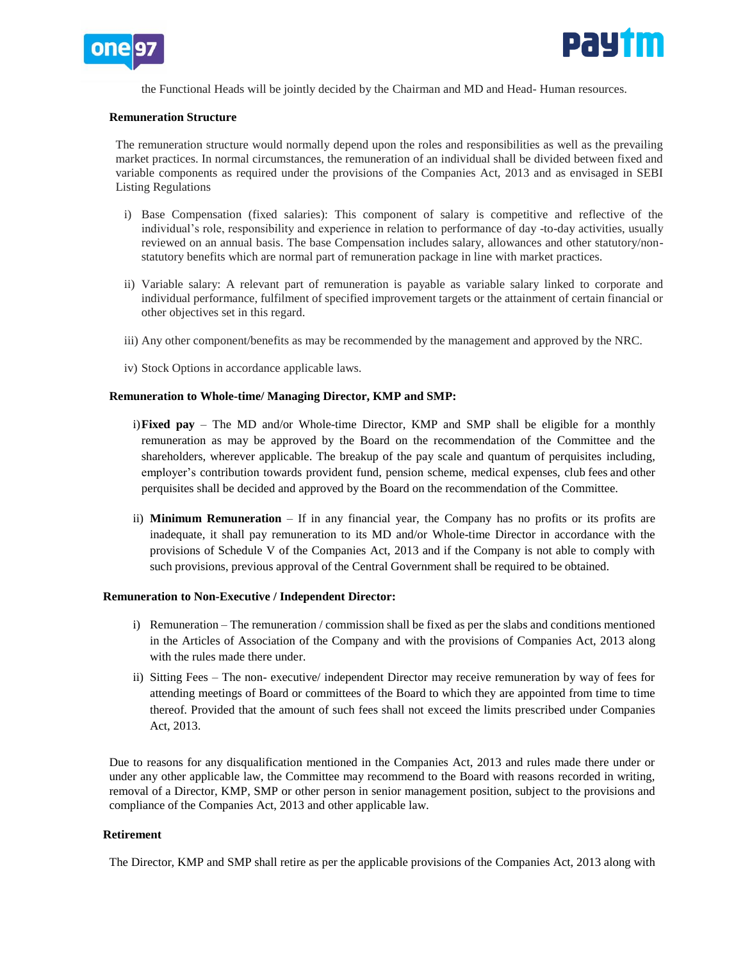



the Functional Heads will be jointly decided by the Chairman and MD and Head- Human resources.

#### **Remuneration Structure**

The remuneration structure would normally depend upon the roles and responsibilities as well as the prevailing market practices. In normal circumstances, the remuneration of an individual shall be divided between fixed and variable components as required under the provisions of the Companies Act, 2013 and as envisaged in SEBI Listing Regulations

- i) Base Compensation (fixed salaries): This component of salary is competitive and reflective of the individual's role, responsibility and experience in relation to performance of day -to-day activities, usually reviewed on an annual basis. The base Compensation includes salary, allowances and other statutory/nonstatutory benefits which are normal part of remuneration package in line with market practices.
- ii) Variable salary: A relevant part of remuneration is payable as variable salary linked to corporate and individual performance, fulfilment of specified improvement targets or the attainment of certain financial or other objectives set in this regard.
- iii) Any other component/benefits as may be recommended by the management and approved by the NRC.
- iv) Stock Options in accordance applicable laws.

#### **Remuneration to Whole-time/ Managing Director, KMP and SMP:**

- i)**Fixed pay**  The MD and/or Whole-time Director, KMP and SMP shall be eligible for a monthly remuneration as may be approved by the Board on the recommendation of the Committee and the shareholders, wherever applicable. The breakup of the pay scale and quantum of perquisites including, employer's contribution towards provident fund, pension scheme, medical expenses, club fees and other perquisites shall be decided and approved by the Board on the recommendation of the Committee.
- ii) **Minimum Remuneration**  If in any financial year, the Company has no profits or its profits are inadequate, it shall pay remuneration to its MD and/or Whole-time Director in accordance with the provisions of Schedule V of the Companies Act, 2013 and if the Company is not able to comply with such provisions, previous approval of the Central Government shall be required to be obtained.

#### **Remuneration to Non-Executive / Independent Director:**

- i) Remuneration The remuneration / commission shall be fixed as per the slabs and conditions mentioned in the Articles of Association of the Company and with the provisions of Companies Act, 2013 along with the rules made there under.
- ii) Sitting Fees The non- executive/ independent Director may receive remuneration by way of fees for attending meetings of Board or committees of the Board to which they are appointed from time to time thereof. Provided that the amount of such fees shall not exceed the limits prescribed under Companies Act, 2013.

Due to reasons for any disqualification mentioned in the Companies Act, 2013 and rules made there under or under any other applicable law, the Committee may recommend to the Board with reasons recorded in writing, removal of a Director, KMP, SMP or other person in senior management position, subject to the provisions and compliance of the Companies Act, 2013 and other applicable law.

#### **Retirement**

The Director, KMP and SMP shall retire as per the applicable provisions of the Companies Act, 2013 along with